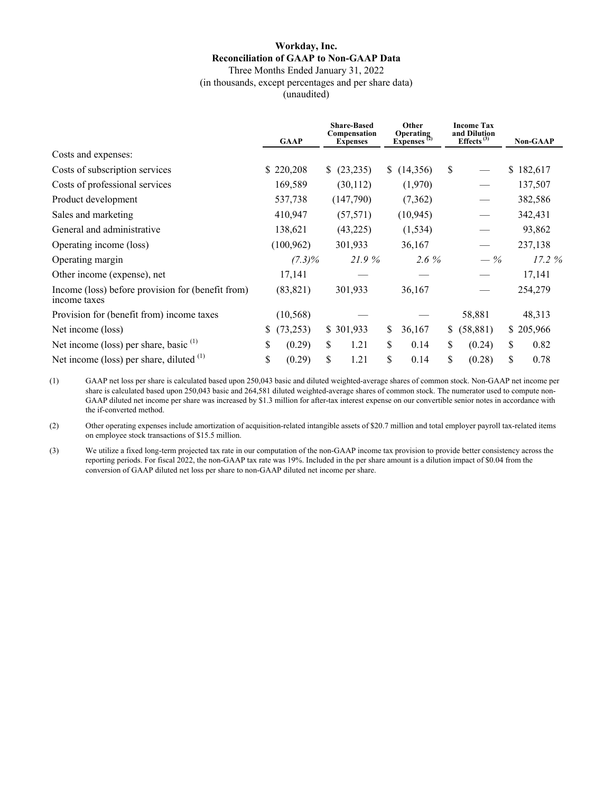# **Workday, Inc. Reconciliation of GAAP to Non-GAAP Data** Three Months Ended January 31, 2022 (in thousands, except percentages and per share data)

(unaudited)

|                                                                   |    | <b>GAAP</b> | <b>Share-Based</b><br>Compensation<br><b>Expenses</b> |    | Other<br>Operating<br>Expenses $(2)$ |    | <b>Income Tax</b><br>and Dilution<br>Effects <sup>(3)</sup> |    | <b>Non-GAAP</b> |
|-------------------------------------------------------------------|----|-------------|-------------------------------------------------------|----|--------------------------------------|----|-------------------------------------------------------------|----|-----------------|
| Costs and expenses:                                               |    |             |                                                       |    |                                      |    |                                                             |    |                 |
| Costs of subscription services                                    |    | \$220,208   | (23,235)                                              | S. | (14,356)                             | \$ |                                                             |    | \$182,617       |
| Costs of professional services                                    |    | 169,589     | (30, 112)                                             |    | (1,970)                              |    |                                                             |    | 137,507         |
| Product development                                               |    | 537,738     | (147,790)                                             |    | (7,362)                              |    |                                                             |    | 382,586         |
| Sales and marketing                                               |    | 410,947     | (57, 571)                                             |    | (10, 945)                            |    |                                                             |    | 342,431         |
| General and administrative                                        |    | 138,621     | (43, 225)                                             |    | (1, 534)                             |    |                                                             |    | 93,862          |
| Operating income (loss)                                           |    | (100, 962)  | 301,933                                               |    | 36,167                               |    |                                                             |    | 237,138         |
| Operating margin                                                  |    | $(7.3)\%$   | 21.9%                                                 |    | $2.6\%$                              |    | $-\frac{9}{6}$                                              |    | 17.2%           |
| Other income (expense), net                                       |    | 17,141      |                                                       |    |                                      |    |                                                             |    | 17,141          |
| Income (loss) before provision for (benefit from)<br>income taxes |    | (83, 821)   | 301,933                                               |    | 36,167                               |    |                                                             |    | 254,279         |
| Provision for (benefit from) income taxes                         |    | (10, 568)   |                                                       |    |                                      |    | 58,881                                                      |    | 48,313          |
| Net income (loss)                                                 | S. | (73, 253)   | \$301,933                                             | \$ | 36,167                               | S. | (58, 881)                                                   |    | \$205,966       |
| Net income (loss) per share, basic $(1)$                          | S  | (0.29)      | \$<br>1.21                                            | \$ | 0.14                                 | \$ | (0.24)                                                      | S  | 0.82            |
| Net income (loss) per share, diluted $(1)$                        | \$ | (0.29)      | \$<br>1.21                                            | \$ | 0.14                                 | \$ | (0.28)                                                      | \$ | 0.78            |

(1) GAAP net loss per share is calculated based upon 250,043 basic and diluted weighted-average shares of common stock. Non-GAAP net income per share is calculated based upon 250,043 basic and 264,581 diluted weighted-average shares of common stock. The numerator used to compute non-GAAP diluted net income per share was increased by \$1.3 million for after-tax interest expense on our convertible senior notes in accordance with the if-converted method.

(2) Other operating expenses include amortization of acquisition-related intangible assets of \$20.7 million and total employer payroll tax-related items on employee stock transactions of \$15.5 million.

(3) We utilize a fixed long-term projected tax rate in our computation of the non-GAAP income tax provision to provide better consistency across the reporting periods. For fiscal 2022, the non-GAAP tax rate was 19%. Included in the per share amount is a dilution impact of \$0.04 from the conversion of GAAP diluted net loss per share to non-GAAP diluted net income per share.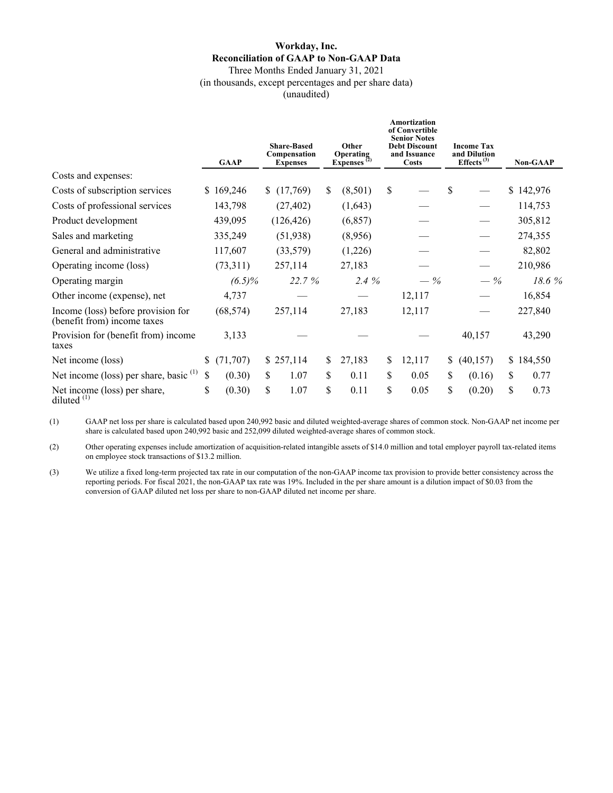## **Workday, Inc. Reconciliation of GAAP to Non-GAAP Data** Three Months Ended January 31, 2021 (in thousands, except percentages and per share data) (unaudited)

|                                                                   | <b>GAAP</b> |           | <b>Share-Based</b><br>Compensation<br><b>Expenses</b> |            | Other<br>Operating<br>Expenses $(2)$ | <b>Amortization</b><br>of Convertible<br><b>Senior Notes</b><br><b>Debt Discount</b><br>and Issuance<br><b>Costs</b> |    |                | <b>Income Tax</b><br>and Dilution<br>Effects <sup>(3)</sup> |                | <b>Non-GAAP</b> |           |
|-------------------------------------------------------------------|-------------|-----------|-------------------------------------------------------|------------|--------------------------------------|----------------------------------------------------------------------------------------------------------------------|----|----------------|-------------------------------------------------------------|----------------|-----------------|-----------|
| Costs and expenses:                                               |             |           |                                                       |            |                                      |                                                                                                                      |    |                |                                                             |                |                 |           |
| Costs of subscription services                                    |             | \$169,246 | S.                                                    | (17,769)   | \$.                                  | (8,501)                                                                                                              | \$ |                | S                                                           |                |                 | \$142,976 |
| Costs of professional services                                    |             | 143,798   |                                                       | (27, 402)  |                                      | (1,643)                                                                                                              |    |                |                                                             |                |                 | 114,753   |
| Product development                                               |             | 439,095   |                                                       | (126, 426) |                                      | (6, 857)                                                                                                             |    |                |                                                             |                |                 | 305,812   |
| Sales and marketing                                               |             | 335,249   |                                                       | (51, 938)  |                                      | (8,956)                                                                                                              |    |                |                                                             |                |                 | 274,355   |
| General and administrative                                        |             | 117,607   |                                                       | (33,579)   |                                      | (1,226)                                                                                                              |    |                |                                                             |                |                 | 82,802    |
| Operating income (loss)                                           |             | (73,311)  |                                                       | 257,114    |                                      | 27,183                                                                                                               |    |                |                                                             |                |                 | 210,986   |
| Operating margin                                                  |             | $(6.5)\%$ |                                                       | 22.7 %     |                                      | 2.4%                                                                                                                 |    | $-\frac{6}{6}$ |                                                             | $-\frac{9}{6}$ |                 | 18.6%     |
| Other income (expense), net                                       |             | 4,737     |                                                       |            |                                      |                                                                                                                      |    | 12,117         |                                                             |                |                 | 16,854    |
| Income (loss) before provision for<br>(benefit from) income taxes |             | (68, 574) |                                                       | 257,114    |                                      | 27,183                                                                                                               |    | 12,117         |                                                             |                |                 | 227,840   |
| Provision for (benefit from) income<br>taxes                      |             | 3,133     |                                                       |            |                                      |                                                                                                                      |    |                |                                                             | 40,157         |                 | 43,290    |
| Net income (loss)                                                 |             | (71, 707) |                                                       | \$257,114  | \$                                   | 27,183                                                                                                               | S. | 12,117         | S.                                                          | (40, 157)      |                 | \$184,550 |
| Net income (loss) per share, basic $(1)$                          | \$          | (0.30)    | \$                                                    | 1.07       | \$                                   | 0.11                                                                                                                 | \$ | 0.05           | \$                                                          | (0.16)         | S.              | 0.77      |
| Net income (loss) per share,<br>diluted $(1)$                     | \$          | (0.30)    | \$                                                    | 1.07       | \$                                   | 0.11                                                                                                                 | \$ | 0.05           | \$                                                          | (0.20)         | \$              | 0.73      |

(1) GAAP net loss per share is calculated based upon 240,992 basic and diluted weighted-average shares of common stock. Non-GAAP net income per share is calculated based upon 240,992 basic and 252,099 diluted weighted-average shares of common stock.

(2) Other operating expenses include amortization of acquisition-related intangible assets of \$14.0 million and total employer payroll tax-related items on employee stock transactions of \$13.2 million.

(3) We utilize a fixed long-term projected tax rate in our computation of the non-GAAP income tax provision to provide better consistency across the reporting periods. For fiscal 2021, the non-GAAP tax rate was 19%. Included in the per share amount is a dilution impact of \$0.03 from the conversion of GAAP diluted net loss per share to non-GAAP diluted net income per share.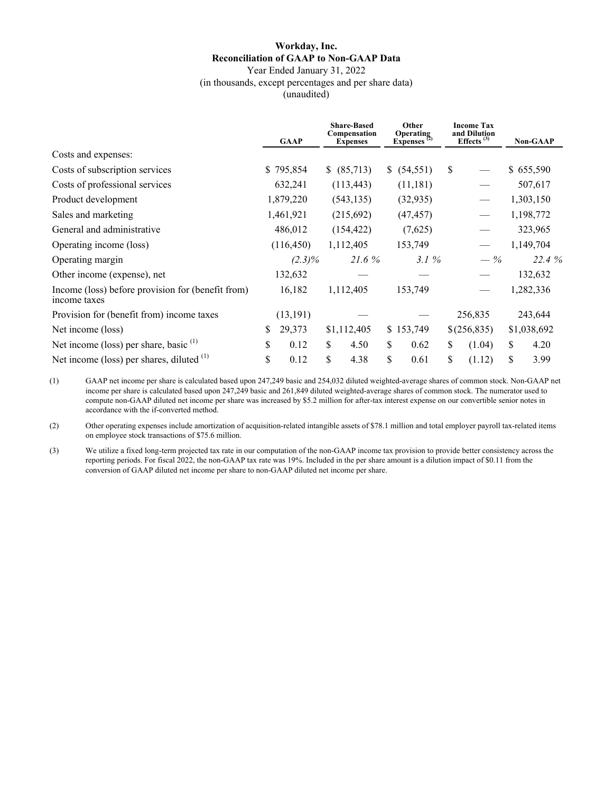#### **Workday, Inc. Reconciliation of GAAP to Non-GAAP Data** Year Ended January 31, 2022 (in thousands, except percentages and per share data) (unaudited)

|                                                                   | <b>GAAP</b> |            | <b>Share-Based</b><br>Compensation<br><b>Expenses</b> |             |    | Other<br><b>Operating</b><br>Expenses $(2)$ | <b>Income Tax</b><br>and Dilution<br>Effects <sup>(3)</sup> | Non-GAAP |             |  |
|-------------------------------------------------------------------|-------------|------------|-------------------------------------------------------|-------------|----|---------------------------------------------|-------------------------------------------------------------|----------|-------------|--|
| Costs and expenses:                                               |             |            |                                                       |             |    |                                             |                                                             |          |             |  |
| Costs of subscription services                                    |             | \$795,854  |                                                       | \$ (85,713) | S. | (54, 551)                                   | \$                                                          |          | \$655,590   |  |
| Costs of professional services                                    |             | 632,241    |                                                       | (113, 443)  |    | (11, 181)                                   |                                                             |          | 507,617     |  |
| Product development                                               |             | 1,879,220  |                                                       | (543, 135)  |    | (32, 935)                                   |                                                             |          | 1,303,150   |  |
| Sales and marketing                                               |             | 1,461,921  |                                                       | (215,692)   |    | (47, 457)                                   | $\qquad \qquad \longleftarrow$                              |          | 1,198,772   |  |
| General and administrative                                        |             | 486,012    |                                                       | (154, 422)  |    | (7,625)                                     |                                                             |          | 323,965     |  |
| Operating income (loss)                                           |             | (116, 450) |                                                       | 1,112,405   |    | 153,749                                     |                                                             |          | 1,149,704   |  |
| Operating margin                                                  |             | $(2.3)\%$  |                                                       | 21.6 %      |    | 3.1%                                        | $-\frac{9}{6}$                                              |          | 22.4 %      |  |
| Other income (expense), net                                       |             | 132,632    |                                                       |             |    |                                             |                                                             |          | 132,632     |  |
| Income (loss) before provision for (benefit from)<br>income taxes |             | 16,182     |                                                       | 1,112,405   |    | 153,749                                     |                                                             |          | 1,282,336   |  |
| Provision for (benefit from) income taxes                         |             | (13, 191)  |                                                       |             |    |                                             | 256,835                                                     |          | 243,644     |  |
| Net income (loss)                                                 | S           | 29,373     |                                                       | \$1,112,405 |    | \$153,749                                   | \$(256,835)                                                 |          | \$1,038,692 |  |
| Net income (loss) per share, basic $(1)$                          | \$          | 0.12       | \$                                                    | 4.50        | \$ | 0.62                                        | \$<br>(1.04)                                                | \$       | 4.20        |  |
| Net income (loss) per shares, diluted $(1)$                       | \$          | 0.12       | \$                                                    | 4.38        | \$ | 0.61                                        | \$<br>(1.12)                                                | \$       | 3.99        |  |

(1) GAAP net income per share is calculated based upon 247,249 basic and 254,032 diluted weighted-average shares of common stock. Non-GAAP net income per share is calculated based upon 247,249 basic and 261,849 diluted weighted-average shares of common stock. The numerator used to compute non-GAAP diluted net income per share was increased by \$5.2 million for after-tax interest expense on our convertible senior notes in accordance with the if-converted method.

(2) Other operating expenses include amortization of acquisition-related intangible assets of \$78.1 million and total employer payroll tax-related items on employee stock transactions of \$75.6 million.

(3) We utilize a fixed long-term projected tax rate in our computation of the non-GAAP income tax provision to provide better consistency across the reporting periods. For fiscal 2022, the non-GAAP tax rate was 19%. Included in the per share amount is a dilution impact of \$0.11 from the conversion of GAAP diluted net income per share to non-GAAP diluted net income per share.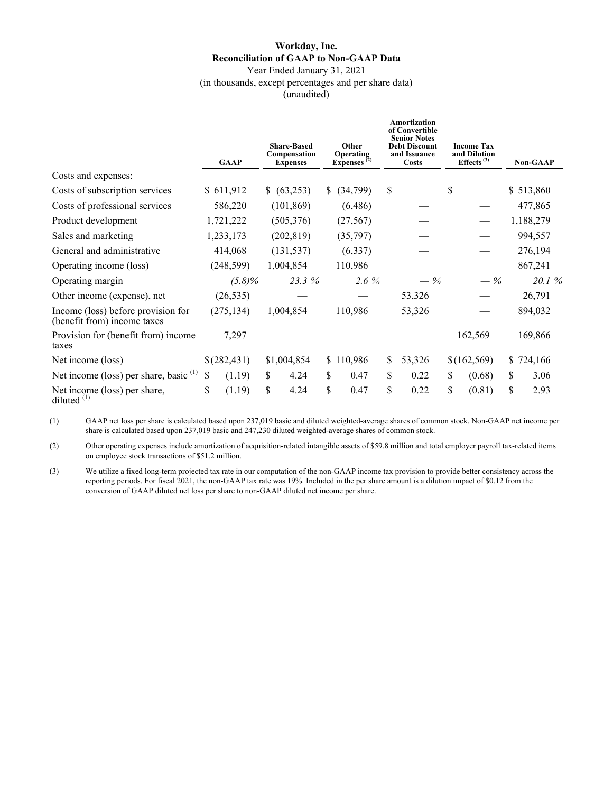## **Workday, Inc. Reconciliation of GAAP to Non-GAAP Data** Year Ended January 31, 2021 (in thousands, except percentages and per share data) (unaudited)

|                                                                   | <b>GAAP</b>  | <b>Share-Based</b><br>Compensation<br><b>Expenses</b> | Other<br>Operating<br>Expenses $(2)$ | Amortization<br>of Convertible<br><b>Senior Notes</b><br><b>Debt Discount</b><br>and Issuance<br><b>Costs</b> | <b>Income Tax</b><br>and Dilution<br>Effects <sup>(3)</sup> | <b>Non-GAAP</b> |  |
|-------------------------------------------------------------------|--------------|-------------------------------------------------------|--------------------------------------|---------------------------------------------------------------------------------------------------------------|-------------------------------------------------------------|-----------------|--|
| Costs and expenses:                                               |              |                                                       |                                      |                                                                                                               |                                                             |                 |  |
| Costs of subscription services                                    | \$611,912    | \$ (63,253)                                           | (34,799)<br>S.                       | \$                                                                                                            | \$                                                          | \$513,860       |  |
| Costs of professional services                                    | 586,220      | (101, 869)                                            | (6, 486)                             |                                                                                                               |                                                             | 477,865         |  |
| Product development                                               | 1,721,222    | (505, 376)                                            | (27, 567)                            |                                                                                                               |                                                             | 1,188,279       |  |
| Sales and marketing                                               | 1,233,173    | (202, 819)                                            | (35,797)                             |                                                                                                               |                                                             | 994,557         |  |
| General and administrative                                        | 414,068      | (131, 537)                                            | (6,337)                              |                                                                                                               |                                                             | 276,194         |  |
| Operating income (loss)                                           | (248, 599)   | 1,004,854                                             | 110,986                              |                                                                                                               |                                                             | 867,241         |  |
| Operating margin                                                  | (5.8)%       | 23.3 %                                                | $2.6\%$                              | $-\frac{6}{6}$                                                                                                | $-$ %                                                       | 20.1%           |  |
| Other income (expense), net                                       | (26, 535)    |                                                       |                                      | 53,326                                                                                                        |                                                             | 26,791          |  |
| Income (loss) before provision for<br>(benefit from) income taxes | (275, 134)   | 1,004,854                                             | 110,986                              | 53,326                                                                                                        |                                                             | 894,032         |  |
| Provision for (benefit from) income<br>taxes                      | 7,297        |                                                       |                                      |                                                                                                               | 162,569                                                     | 169,866         |  |
| Net income (loss)                                                 | \$(282,431)  | \$1,004,854                                           | \$110,986                            | 53,326<br>\$                                                                                                  | \$(162,569)                                                 | \$724,166       |  |
| Net income (loss) per share, basic $(1)$                          | S.<br>(1.19) | \$<br>4.24                                            | \$<br>0.47                           | \$<br>0.22                                                                                                    | \$<br>(0.68)                                                | S.<br>3.06      |  |
| Net income (loss) per share,<br>diluted <sup>(1)</sup>            | \$<br>(1.19) | \$<br>4.24                                            | \$<br>0.47                           | \$<br>0.22                                                                                                    | \$<br>(0.81)                                                | \$<br>2.93      |  |

(1) GAAP net loss per share is calculated based upon 237,019 basic and diluted weighted-average shares of common stock. Non-GAAP net income per share is calculated based upon 237,019 basic and 247,230 diluted weighted-average shares of common stock.

(2) Other operating expenses include amortization of acquisition-related intangible assets of \$59.8 million and total employer payroll tax-related items on employee stock transactions of \$51.2 million.

(3) We utilize a fixed long-term projected tax rate in our computation of the non-GAAP income tax provision to provide better consistency across the reporting periods. For fiscal 2021, the non-GAAP tax rate was 19%. Included in the per share amount is a dilution impact of \$0.12 from the conversion of GAAP diluted net loss per share to non-GAAP diluted net income per share.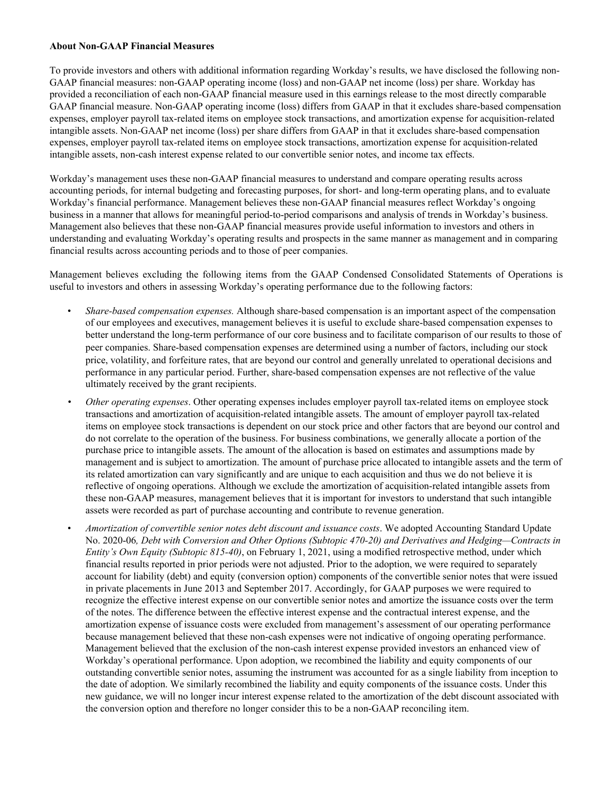## **About Non-GAAP Financial Measures**

To provide investors and others with additional information regarding Workday's results, we have disclosed the following non-GAAP financial measures: non-GAAP operating income (loss) and non-GAAP net income (loss) per share. Workday has provided a reconciliation of each non-GAAP financial measure used in this earnings release to the most directly comparable GAAP financial measure. Non-GAAP operating income (loss) differs from GAAP in that it excludes share-based compensation expenses, employer payroll tax-related items on employee stock transactions, and amortization expense for acquisition-related intangible assets. Non-GAAP net income (loss) per share differs from GAAP in that it excludes share-based compensation expenses, employer payroll tax-related items on employee stock transactions, amortization expense for acquisition-related intangible assets, non-cash interest expense related to our convertible senior notes, and income tax effects.

Workday's management uses these non-GAAP financial measures to understand and compare operating results across accounting periods, for internal budgeting and forecasting purposes, for short- and long-term operating plans, and to evaluate Workday's financial performance. Management believes these non-GAAP financial measures reflect Workday's ongoing business in a manner that allows for meaningful period-to-period comparisons and analysis of trends in Workday's business. Management also believes that these non-GAAP financial measures provide useful information to investors and others in understanding and evaluating Workday's operating results and prospects in the same manner as management and in comparing financial results across accounting periods and to those of peer companies.

Management believes excluding the following items from the GAAP Condensed Consolidated Statements of Operations is useful to investors and others in assessing Workday's operating performance due to the following factors:

- *Share-based compensation expenses.* Although share-based compensation is an important aspect of the compensation of our employees and executives, management believes it is useful to exclude share-based compensation expenses to better understand the long-term performance of our core business and to facilitate comparison of our results to those of peer companies. Share-based compensation expenses are determined using a number of factors, including our stock price, volatility, and forfeiture rates, that are beyond our control and generally unrelated to operational decisions and performance in any particular period. Further, share-based compensation expenses are not reflective of the value ultimately received by the grant recipients.
- *• Other operating expenses*. Other operating expenses includes employer payroll tax-related items on employee stock transactions and amortization of acquisition-related intangible assets. The amount of employer payroll tax-related items on employee stock transactions is dependent on our stock price and other factors that are beyond our control and do not correlate to the operation of the business. For business combinations, we generally allocate a portion of the purchase price to intangible assets. The amount of the allocation is based on estimates and assumptions made by management and is subject to amortization. The amount of purchase price allocated to intangible assets and the term of its related amortization can vary significantly and are unique to each acquisition and thus we do not believe it is reflective of ongoing operations. Although we exclude the amortization of acquisition-related intangible assets from these non-GAAP measures, management believes that it is important for investors to understand that such intangible assets were recorded as part of purchase accounting and contribute to revenue generation.
- *Amortization of convertible senior notes debt discount and issuance costs*. We adopted Accounting Standard Update No. 2020-06*, Debt with Conversion and Other Options (Subtopic 470-20) and Derivatives and Hedging—Contracts in Entity's Own Equity (Subtopic 815-40)*, on February 1, 2021, using a modified retrospective method, under which financial results reported in prior periods were not adjusted. Prior to the adoption, we were required to separately account for liability (debt) and equity (conversion option) components of the convertible senior notes that were issued in private placements in June 2013 and September 2017. Accordingly, for GAAP purposes we were required to recognize the effective interest expense on our convertible senior notes and amortize the issuance costs over the term of the notes. The difference between the effective interest expense and the contractual interest expense, and the amortization expense of issuance costs were excluded from management's assessment of our operating performance because management believed that these non-cash expenses were not indicative of ongoing operating performance. Management believed that the exclusion of the non-cash interest expense provided investors an enhanced view of Workday's operational performance. Upon adoption, we recombined the liability and equity components of our outstanding convertible senior notes, assuming the instrument was accounted for as a single liability from inception to the date of adoption. We similarly recombined the liability and equity components of the issuance costs. Under this new guidance, we will no longer incur interest expense related to the amortization of the debt discount associated with the conversion option and therefore no longer consider this to be a non-GAAP reconciling item.